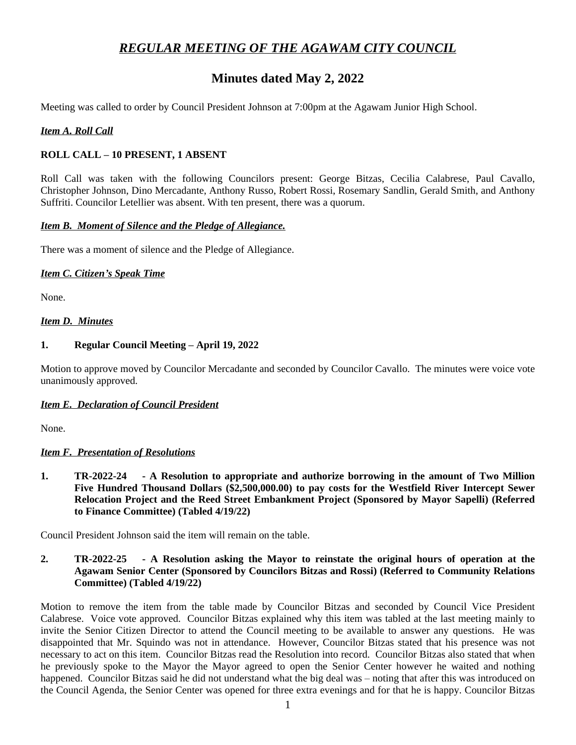# *REGULAR MEETING OF THE AGAWAM CITY COUNCIL*

# **Minutes dated May 2, 2022**

Meeting was called to order by Council President Johnson at 7:00pm at the Agawam Junior High School.

## *Item A. Roll Call*

## **ROLL CALL – 10 PRESENT, 1 ABSENT**

Roll Call was taken with the following Councilors present: George Bitzas, Cecilia Calabrese, Paul Cavallo, Christopher Johnson, Dino Mercadante, Anthony Russo, Robert Rossi, Rosemary Sandlin, Gerald Smith, and Anthony Suffriti. Councilor Letellier was absent. With ten present, there was a quorum.

#### *Item B. Moment of Silence and the Pledge of Allegiance.*

There was a moment of silence and the Pledge of Allegiance.

#### *Item C. Citizen's Speak Time*

None.

## *Item D. Minutes*

#### **1. Regular Council Meeting – April 19, 2022**

Motion to approve moved by Councilor Mercadante and seconded by Councilor Cavallo. The minutes were voice vote unanimously approved.

## *Item E. Declaration of Council President*

None.

## *Item F. Presentation of Resolutions*

**1. TR-2022-24 - A Resolution to appropriate and authorize borrowing in the amount of Two Million Five Hundred Thousand Dollars (\$2,500,000.00) to pay costs for the Westfield River Intercept Sewer Relocation Project and the Reed Street Embankment Project (Sponsored by Mayor Sapelli) (Referred to Finance Committee) (Tabled 4/19/22)**

Council President Johnson said the item will remain on the table.

**2. TR-2022-25 - A Resolution asking the Mayor to reinstate the original hours of operation at the Agawam Senior Center (Sponsored by Councilors Bitzas and Rossi) (Referred to Community Relations Committee) (Tabled 4/19/22)**

Motion to remove the item from the table made by Councilor Bitzas and seconded by Council Vice President Calabrese. Voice vote approved. Councilor Bitzas explained why this item was tabled at the last meeting mainly to invite the Senior Citizen Director to attend the Council meeting to be available to answer any questions. He was disappointed that Mr. Squindo was not in attendance. However, Councilor Bitzas stated that his presence was not necessary to act on this item. Councilor Bitzas read the Resolution into record. Councilor Bitzas also stated that when he previously spoke to the Mayor the Mayor agreed to open the Senior Center however he waited and nothing happened. Councilor Bitzas said he did not understand what the big deal was – noting that after this was introduced on the Council Agenda, the Senior Center was opened for three extra evenings and for that he is happy. Councilor Bitzas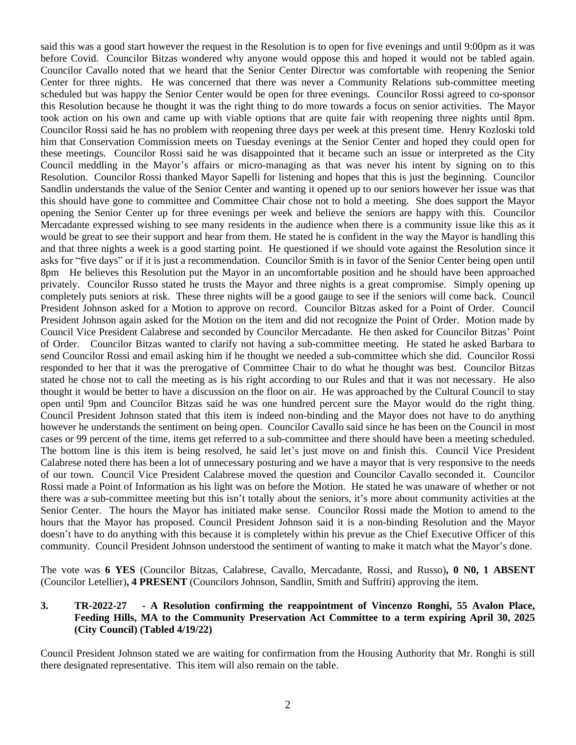said this was a good start however the request in the Resolution is to open for five evenings and until 9:00pm as it was before Covid. Councilor Bitzas wondered why anyone would oppose this and hoped it would not be tabled again. Councilor Cavallo noted that we heard that the Senior Center Director was comfortable with reopening the Senior Center for three nights. He was concerned that there was never a Community Relations sub-committee meeting scheduled but was happy the Senior Center would be open for three evenings. Councilor Rossi agreed to co-sponsor this Resolution because he thought it was the right thing to do more towards a focus on senior activities. The Mayor took action on his own and came up with viable options that are quite fair with reopening three nights until 8pm. Councilor Rossi said he has no problem with reopening three days per week at this present time. Henry Kozloski told him that Conservation Commission meets on Tuesday evenings at the Senior Center and hoped they could open for these meetings. Councilor Rossi said he was disappointed that it became such an issue or interpreted as the City Council meddling in the Mayor's affairs or micro-managing as that was never his intent by signing on to this Resolution. Councilor Rossi thanked Mayor Sapelli for listening and hopes that this is just the beginning. Councilor Sandlin understands the value of the Senior Center and wanting it opened up to our seniors however her issue was that this should have gone to committee and Committee Chair chose not to hold a meeting. She does support the Mayor opening the Senior Center up for three evenings per week and believe the seniors are happy with this. Councilor Mercadante expressed wishing to see many residents in the audience when there is a community issue like this as it would be great to see their support and hear from them. He stated he is confident in the way the Mayor is handling this and that three nights a week is a good starting point. He questioned if we should vote against the Resolution since it asks for "five days" or if it is just a recommendation. Councilor Smith is in favor of the Senior Center being open until 8pm He believes this Resolution put the Mayor in an uncomfortable position and he should have been approached privately. Councilor Russo stated he trusts the Mayor and three nights is a great compromise. Simply opening up completely puts seniors at risk. These three nights will be a good gauge to see if the seniors will come back. Council President Johnson asked for a Motion to approve on record. Councilor Bitzas asked for a Point of Order. Council President Johnson again asked for the Motion on the item and did not recognize the Point of Order. Motion made by Council Vice President Calabrese and seconded by Councilor Mercadante. He then asked for Councilor Bitzas' Point of Order. Councilor Bitzas wanted to clarify not having a sub-committee meeting. He stated he asked Barbara to send Councilor Rossi and email asking him if he thought we needed a sub-committee which she did. Councilor Rossi responded to her that it was the prerogative of Committee Chair to do what he thought was best. Councilor Bitzas stated he chose not to call the meeting as is his right according to our Rules and that it was not necessary. He also thought it would be better to have a discussion on the floor on air. He was approached by the Cultural Council to stay open until 9pm and Councilor Bitzas said he was one hundred percent sure the Mayor would do the right thing. Council President Johnson stated that this item is indeed non-binding and the Mayor does not have to do anything however he understands the sentiment on being open. Councilor Cavallo said since he has been on the Council in most cases or 99 percent of the time, items get referred to a sub-committee and there should have been a meeting scheduled. The bottom line is this item is being resolved, he said let's just move on and finish this. Council Vice President Calabrese noted there has been a lot of unnecessary posturing and we have a mayor that is very responsive to the needs of our town. Council Vice President Calabrese moved the question and Councilor Cavallo seconded it. Councilor Rossi made a Point of Information as his light was on before the Motion. He stated he was unaware of whether or not there was a sub-committee meeting but this isn't totally about the seniors, it's more about community activities at the Senior Center. The hours the Mayor has initiated make sense. Councilor Rossi made the Motion to amend to the hours that the Mayor has proposed. Council President Johnson said it is a non-binding Resolution and the Mayor doesn't have to do anything with this because it is completely within his prevue as the Chief Executive Officer of this community. Council President Johnson understood the sentiment of wanting to make it match what the Mayor's done.

The vote was **6 YES** (Councilor Bitzas, Calabrese, Cavallo, Mercadante, Rossi, and Russo)**, 0 N0, 1 ABSENT** (Councilor Letellier)**, 4 PRESENT** (Councilors Johnson, Sandlin, Smith and Suffriti) approving the item.

## **3. TR-2022-27 - A Resolution confirming the reappointment of Vincenzo Ronghi, 55 Avalon Place, Feeding Hills, MA to the Community Preservation Act Committee to a term expiring April 30, 2025 (City Council) (Tabled 4/19/22)**

Council President Johnson stated we are waiting for confirmation from the Housing Authority that Mr. Ronghi is still there designated representative. This item will also remain on the table.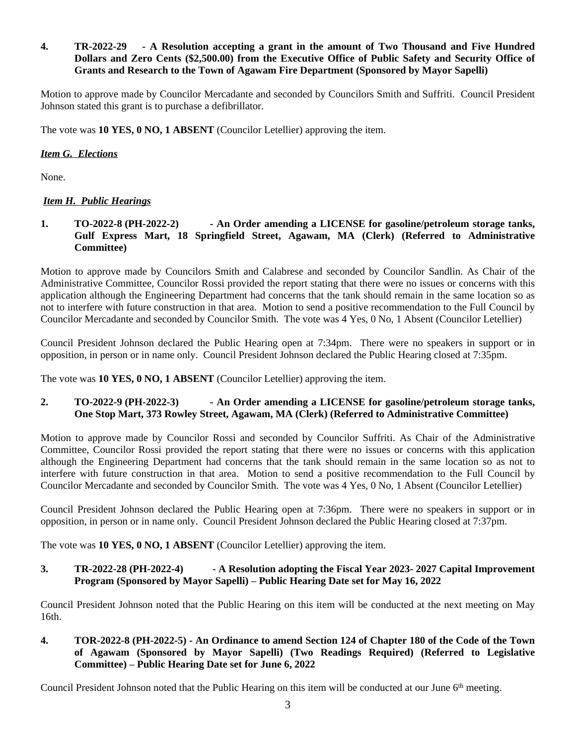# **4. TR-2022-29 - A Resolution accepting a grant in the amount of Two Thousand and Five Hundred Dollars and Zero Cents (\$2,500.00) from the Executive Office of Public Safety and Security Office of Grants and Research to the Town of Agawam Fire Department (Sponsored by Mayor Sapelli)**

Motion to approve made by Councilor Mercadante and seconded by Councilors Smith and Suffriti. Council President Johnson stated this grant is to purchase a defibrillator.

The vote was **10 YES, 0 NO, 1 ABSENT** (Councilor Letellier) approving the item.

# *Item G. Elections*

None.

# *Item H. Public Hearings*

# **1. TO-2022-8 (PH-2022-2) - An Order amending a LICENSE for gasoline/petroleum storage tanks, Gulf Express Mart, 18 Springfield Street, Agawam, MA (Clerk) (Referred to Administrative Committee)**

Motion to approve made by Councilors Smith and Calabrese and seconded by Councilor Sandlin. As Chair of the Administrative Committee, Councilor Rossi provided the report stating that there were no issues or concerns with this application although the Engineering Department had concerns that the tank should remain in the same location so as not to interfere with future construction in that area. Motion to send a positive recommendation to the Full Council by Councilor Mercadante and seconded by Councilor Smith. The vote was 4 Yes, 0 No, 1 Absent (Councilor Letellier)

Council President Johnson declared the Public Hearing open at 7:34pm. There were no speakers in support or in opposition, in person or in name only. Council President Johnson declared the Public Hearing closed at 7:35pm.

The vote was **10 YES, 0 NO, 1 ABSENT** (Councilor Letellier) approving the item.

# **2. TO-2022-9 (PH-2022-3) - An Order amending a LICENSE for gasoline/petroleum storage tanks, One Stop Mart, 373 Rowley Street, Agawam, MA (Clerk) (Referred to Administrative Committee)**

Motion to approve made by Councilor Rossi and seconded by Councilor Suffriti. As Chair of the Administrative Committee, Councilor Rossi provided the report stating that there were no issues or concerns with this application although the Engineering Department had concerns that the tank should remain in the same location so as not to interfere with future construction in that area. Motion to send a positive recommendation to the Full Council by Councilor Mercadante and seconded by Councilor Smith. The vote was 4 Yes, 0 No, 1 Absent (Councilor Letellier)

Council President Johnson declared the Public Hearing open at 7:36pm. There were no speakers in support or in opposition, in person or in name only. Council President Johnson declared the Public Hearing closed at 7:37pm.

The vote was **10 YES, 0 NO, 1 ABSENT** (Councilor Letellier) approving the item.

# **3. TR-2022-28 (PH-2022-4) - A Resolution adopting the Fiscal Year 2023- 2027 Capital Improvement Program (Sponsored by Mayor Sapelli) – Public Hearing Date set for May 16, 2022**

Council President Johnson noted that the Public Hearing on this item will be conducted at the next meeting on May 16th.

4. TOR-2022-8 (PH-2022-5) - An Ordinance to amend Section 124 of Chapter 180 of the Code of the Town **of Agawam (Sponsored by Mayor Sapelli) (Two Readings Required) (Referred to Legislative Committee) – Public Hearing Date set for June 6, 2022**

Council President Johnson noted that the Public Hearing on this item will be conducted at our June 6<sup>th</sup> meeting.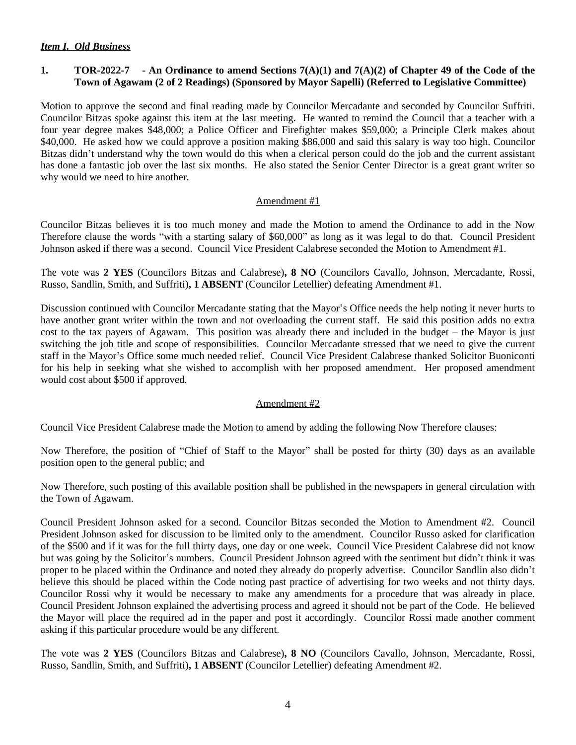## *Item I. Old Business*

# 1. TOR-2022-7 - An Ordinance to amend Sections  $7(A)(1)$  and  $7(A)(2)$  of Chapter 49 of the Code of the **Town of Agawam (2 of 2 Readings) (Sponsored by Mayor Sapelli) (Referred to Legislative Committee)**

Motion to approve the second and final reading made by Councilor Mercadante and seconded by Councilor Suffriti. Councilor Bitzas spoke against this item at the last meeting. He wanted to remind the Council that a teacher with a four year degree makes \$48,000; a Police Officer and Firefighter makes \$59,000; a Principle Clerk makes about \$40,000. He asked how we could approve a position making \$86,000 and said this salary is way too high. Councilor Bitzas didn't understand why the town would do this when a clerical person could do the job and the current assistant has done a fantastic job over the last six months. He also stated the Senior Center Director is a great grant writer so why would we need to hire another.

#### Amendment #1

Councilor Bitzas believes it is too much money and made the Motion to amend the Ordinance to add in the Now Therefore clause the words "with a starting salary of \$60,000" as long as it was legal to do that. Council President Johnson asked if there was a second. Council Vice President Calabrese seconded the Motion to Amendment #1.

The vote was **2 YES** (Councilors Bitzas and Calabrese)**, 8 NO** (Councilors Cavallo, Johnson, Mercadante, Rossi, Russo, Sandlin, Smith, and Suffriti)**, 1 ABSENT** (Councilor Letellier) defeating Amendment #1.

Discussion continued with Councilor Mercadante stating that the Mayor's Office needs the help noting it never hurts to have another grant writer within the town and not overloading the current staff. He said this position adds no extra cost to the tax payers of Agawam. This position was already there and included in the budget – the Mayor is just switching the job title and scope of responsibilities. Councilor Mercadante stressed that we need to give the current staff in the Mayor's Office some much needed relief. Council Vice President Calabrese thanked Solicitor Buoniconti for his help in seeking what she wished to accomplish with her proposed amendment. Her proposed amendment would cost about \$500 if approved.

## Amendment #2

Council Vice President Calabrese made the Motion to amend by adding the following Now Therefore clauses:

Now Therefore, the position of "Chief of Staff to the Mayor" shall be posted for thirty (30) days as an available position open to the general public; and

Now Therefore, such posting of this available position shall be published in the newspapers in general circulation with the Town of Agawam.

Council President Johnson asked for a second. Councilor Bitzas seconded the Motion to Amendment #2. Council President Johnson asked for discussion to be limited only to the amendment. Councilor Russo asked for clarification of the \$500 and if it was for the full thirty days, one day or one week. Council Vice President Calabrese did not know but was going by the Solicitor's numbers. Council President Johnson agreed with the sentiment but didn't think it was proper to be placed within the Ordinance and noted they already do properly advertise. Councilor Sandlin also didn't believe this should be placed within the Code noting past practice of advertising for two weeks and not thirty days. Councilor Rossi why it would be necessary to make any amendments for a procedure that was already in place. Council President Johnson explained the advertising process and agreed it should not be part of the Code. He believed the Mayor will place the required ad in the paper and post it accordingly. Councilor Rossi made another comment asking if this particular procedure would be any different.

The vote was **2 YES** (Councilors Bitzas and Calabrese)**, 8 NO** (Councilors Cavallo, Johnson, Mercadante, Rossi, Russo, Sandlin, Smith, and Suffriti)**, 1 ABSENT** (Councilor Letellier) defeating Amendment #2.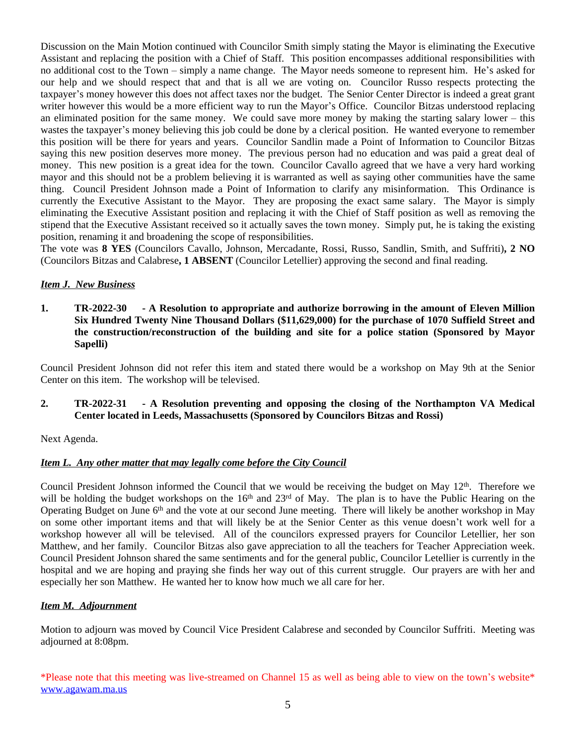Discussion on the Main Motion continued with Councilor Smith simply stating the Mayor is eliminating the Executive Assistant and replacing the position with a Chief of Staff. This position encompasses additional responsibilities with no additional cost to the Town – simply a name change. The Mayor needs someone to represent him. He's asked for our help and we should respect that and that is all we are voting on. Councilor Russo respects protecting the taxpayer's money however this does not affect taxes nor the budget. The Senior Center Director is indeed a great grant writer however this would be a more efficient way to run the Mayor's Office. Councilor Bitzas understood replacing an eliminated position for the same money. We could save more money by making the starting salary lower – this wastes the taxpayer's money believing this job could be done by a clerical position. He wanted everyone to remember this position will be there for years and years. Councilor Sandlin made a Point of Information to Councilor Bitzas saying this new position deserves more money. The previous person had no education and was paid a great deal of money. This new position is a great idea for the town. Councilor Cavallo agreed that we have a very hard working mayor and this should not be a problem believing it is warranted as well as saying other communities have the same thing. Council President Johnson made a Point of Information to clarify any misinformation. This Ordinance is currently the Executive Assistant to the Mayor. They are proposing the exact same salary. The Mayor is simply eliminating the Executive Assistant position and replacing it with the Chief of Staff position as well as removing the stipend that the Executive Assistant received so it actually saves the town money. Simply put, he is taking the existing position, renaming it and broadening the scope of responsibilities.

The vote was **8 YES** (Councilors Cavallo, Johnson, Mercadante, Rossi, Russo, Sandlin, Smith, and Suffriti)**, 2 NO** (Councilors Bitzas and Calabrese**, 1 ABSENT** (Councilor Letellier) approving the second and final reading.

# *Item J. New Business*

**1. TR-2022-30 - A Resolution to appropriate and authorize borrowing in the amount of Eleven Million Six Hundred Twenty Nine Thousand Dollars (\$11,629,000) for the purchase of 1070 Suffield Street and the construction/reconstruction of the building and site for a police station (Sponsored by Mayor Sapelli)**

Council President Johnson did not refer this item and stated there would be a workshop on May 9th at the Senior Center on this item. The workshop will be televised.

# **2. TR-2022-31 - A Resolution preventing and opposing the closing of the Northampton VA Medical Center located in Leeds, Massachusetts (Sponsored by Councilors Bitzas and Rossi)**

Next Agenda.

# *Item L. Any other matter that may legally come before the City Council*

Council President Johnson informed the Council that we would be receiving the budget on May 12<sup>th</sup>. Therefore we will be holding the budget workshops on the 16<sup>th</sup> and 23<sup>rd</sup> of May. The plan is to have the Public Hearing on the Operating Budget on June 6<sup>th</sup> and the vote at our second June meeting. There will likely be another workshop in May on some other important items and that will likely be at the Senior Center as this venue doesn't work well for a workshop however all will be televised. All of the councilors expressed prayers for Councilor Letellier, her son Matthew, and her family. Councilor Bitzas also gave appreciation to all the teachers for Teacher Appreciation week. Council President Johnson shared the same sentiments and for the general public, Councilor Letellier is currently in the hospital and we are hoping and praying she finds her way out of this current struggle. Our prayers are with her and especially her son Matthew. He wanted her to know how much we all care for her.

# *Item M. Adjournment*

Motion to adjourn was moved by Council Vice President Calabrese and seconded by Councilor Suffriti. Meeting was adjourned at 8:08pm.

\*Please note that this meeting was live-streamed on Channel 15 as well as being able to view on the town's website\* [www.agawam.ma.us](http://www.agawam.ma.us)